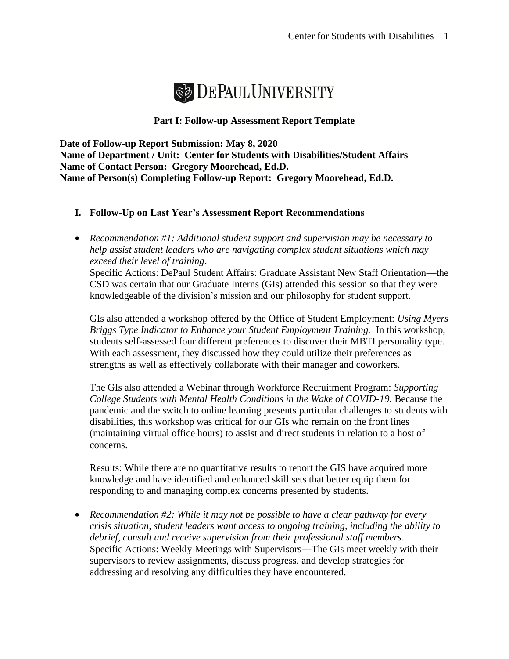

## **Part I: Follow-up Assessment Report Template**

**Date of Follow-up Report Submission: May 8, 2020 Name of Department / Unit: Center for Students with Disabilities/Student Affairs Name of Contact Person: Gregory Moorehead, Ed.D. Name of Person(s) Completing Follow-up Report: Gregory Moorehead, Ed.D.**

# **I. Follow-Up on Last Year's Assessment Report Recommendations**

• *Recommendation #1: Additional student support and supervision may be necessary to help assist student leaders who are navigating complex student situations which may exceed their level of training*.

Specific Actions: DePaul Student Affairs: Graduate Assistant New Staff Orientation—the CSD was certain that our Graduate Interns (GIs) attended this session so that they were knowledgeable of the division's mission and our philosophy for student support.

GIs also attended a workshop offered by the Office of Student Employment: *Using Myers Briggs Type Indicator to Enhance your Student Employment Training.* In this workshop, students self-assessed four different preferences to discover their MBTI personality type. With each assessment, they discussed how they could utilize their preferences as strengths as well as effectively collaborate with their manager and coworkers.

The GIs also attended a Webinar through Workforce Recruitment Program: *Supporting*  College Students with Mental Health Conditions in the Wake of COVID-19. Because the pandemic and the switch to online learning presents particular challenges to students with disabilities, this workshop was critical for our GIs who remain on the front lines (maintaining virtual office hours) to assist and direct students in relation to a host of concerns.

Results: While there are no quantitative results to report the GIS have acquired more knowledge and have identified and enhanced skill sets that better equip them for responding to and managing complex concerns presented by students.

• *Recommendation #2: While it may not be possible to have a clear pathway for every crisis situation, student leaders want access to ongoing training, including the ability to debrief, consult and receive supervision from their professional staff members*. Specific Actions: Weekly Meetings with Supervisors---The GIs meet weekly with their supervisors to review assignments, discuss progress, and develop strategies for addressing and resolving any difficulties they have encountered.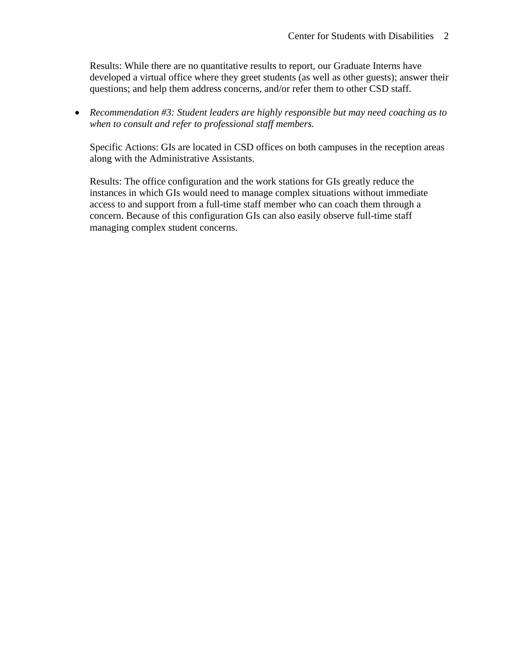Results: While there are no quantitative results to report, our Graduate Interns have developed a virtual office where they greet students (as well as other guests); answer their questions; and help them address concerns, and/or refer them to other CSD staff.

• *Recommendation #3: Student leaders are highly responsible but may need coaching as to when to consult and refer to professional staff members.* 

Specific Actions: GIs are located in CSD offices on both campuses in the reception areas along with the Administrative Assistants.

Results: The office configuration and the work stations for GIs greatly reduce the instances in which GIs would need to manage complex situations without immediate access to and support from a full-time staff member who can coach them through a concern. Because of this configuration GIs can also easily observe full-time staff managing complex student concerns.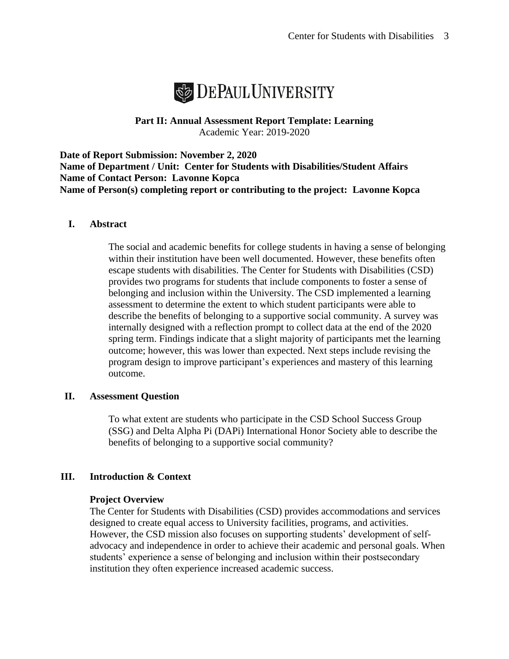

**Part II: Annual Assessment Report Template: Learning** Academic Year: 2019-2020

**Date of Report Submission: November 2, 2020 Name of Department / Unit: Center for Students with Disabilities/Student Affairs Name of Contact Person: Lavonne Kopca Name of Person(s) completing report or contributing to the project: Lavonne Kopca**

#### **I. Abstract**

The social and academic benefits for college students in having a sense of belonging within their institution have been well documented. However, these benefits often escape students with disabilities. The Center for Students with Disabilities (CSD) provides two programs for students that include components to foster a sense of belonging and inclusion within the University. The CSD implemented a learning assessment to determine the extent to which student participants were able to describe the benefits of belonging to a supportive social community. A survey was internally designed with a reflection prompt to collect data at the end of the 2020 spring term. Findings indicate that a slight majority of participants met the learning outcome; however, this was lower than expected. Next steps include revising the program design to improve participant's experiences and mastery of this learning outcome.

#### **II. Assessment Question**

To what extent are students who participate in the CSD School Success Group (SSG) and Delta Alpha Pi (DAPi) International Honor Society able to describe the benefits of belonging to a supportive social community?

## **III. Introduction & Context**

#### **Project Overview**

The Center for Students with Disabilities (CSD) provides accommodations and services designed to create equal access to University facilities, programs, and activities. However, the CSD mission also focuses on supporting students' development of selfadvocacy and independence in order to achieve their academic and personal goals. When students' experience a sense of belonging and inclusion within their postsecondary institution they often experience increased academic success.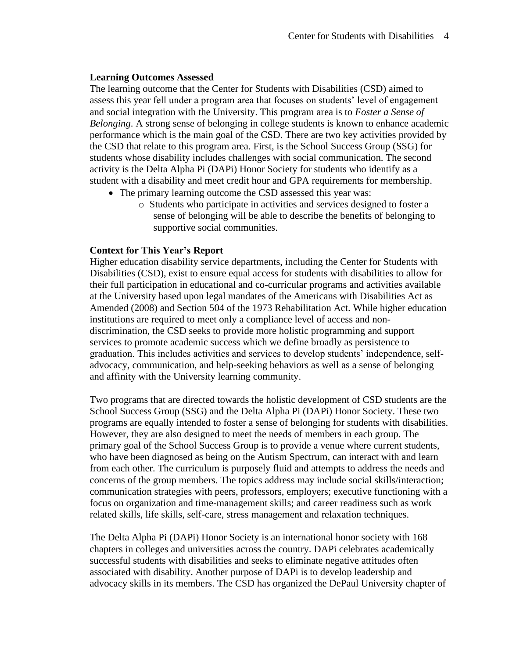### **Learning Outcomes Assessed**

The learning outcome that the Center for Students with Disabilities (CSD) aimed to assess this year fell under a program area that focuses on students' level of engagement and social integration with the University. This program area is to *Foster a Sense of Belonging*. A strong sense of belonging in college students is known to enhance academic performance which is the main goal of the CSD. There are two key activities provided by the CSD that relate to this program area. First, is the School Success Group (SSG) for students whose disability includes challenges with social communication. The second activity is the Delta Alpha Pi (DAPi) Honor Society for students who identify as a student with a disability and meet credit hour and GPA requirements for membership.

- The primary learning outcome the CSD assessed this year was:
	- o Students who participate in activities and services designed to foster a sense of belonging will be able to describe the benefits of belonging to supportive social communities.

### **Context for This Year's Report**

Higher education disability service departments, including the Center for Students with Disabilities (CSD), exist to ensure equal access for students with disabilities to allow for their full participation in educational and co-curricular programs and activities available at the University based upon legal mandates of the Americans with Disabilities Act as Amended (2008) and Section 504 of the 1973 Rehabilitation Act. While higher education institutions are required to meet only a compliance level of access and nondiscrimination, the CSD seeks to provide more holistic programming and support services to promote academic success which we define broadly as persistence to graduation. This includes activities and services to develop students' independence, selfadvocacy, communication, and help-seeking behaviors as well as a sense of belonging and affinity with the University learning community.

Two programs that are directed towards the holistic development of CSD students are the School Success Group (SSG) and the Delta Alpha Pi (DAPi) Honor Society. These two programs are equally intended to foster a sense of belonging for students with disabilities. However, they are also designed to meet the needs of members in each group. The primary goal of the School Success Group is to provide a venue where current students, who have been diagnosed as being on the Autism Spectrum, can interact with and learn from each other. The curriculum is purposely fluid and attempts to address the needs and concerns of the group members. The topics address may include social skills/interaction; communication strategies with peers, professors, employers; executive functioning with a focus on organization and time-management skills; and career readiness such as work related skills, life skills, self-care, stress management and relaxation techniques.

The Delta Alpha Pi (DAPi) Honor Society is an international honor society with 168 chapters in colleges and universities across the country. DAPi celebrates academically successful students with disabilities and seeks to eliminate negative attitudes often associated with disability. Another purpose of DAPi is to develop leadership and advocacy skills in its members. The CSD has organized the DePaul University chapter of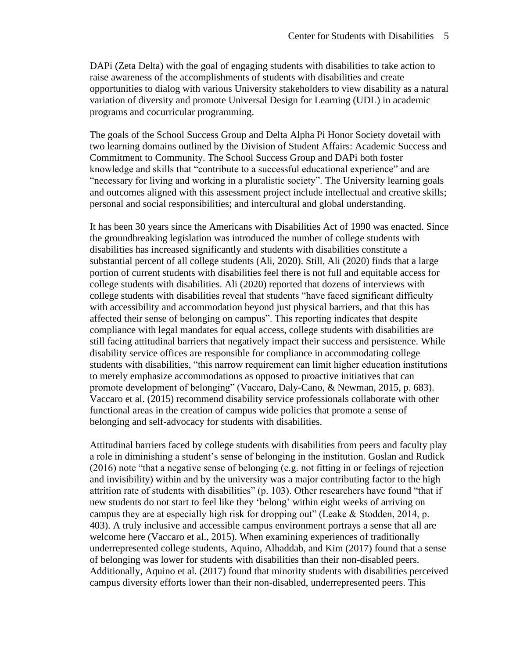DAPi (Zeta Delta) with the goal of engaging students with disabilities to take action to raise awareness of the accomplishments of students with disabilities and create opportunities to dialog with various University stakeholders to view disability as a natural variation of diversity and promote Universal Design for Learning (UDL) in academic programs and cocurricular programming.

The goals of the School Success Group and Delta Alpha Pi Honor Society dovetail with two learning domains outlined by the Division of Student Affairs: Academic Success and Commitment to Community. The School Success Group and DAPi both foster knowledge and skills that "contribute to a successful educational experience" and are "necessary for living and working in a pluralistic society". The University learning goals and outcomes aligned with this assessment project include intellectual and creative skills; personal and social responsibilities; and intercultural and global understanding.

It has been 30 years since the Americans with Disabilities Act of 1990 was enacted. Since the groundbreaking legislation was introduced the number of college students with disabilities has increased significantly and students with disabilities constitute a substantial percent of all college students (Ali, 2020). Still, Ali (2020) finds that a large portion of current students with disabilities feel there is not full and equitable access for college students with disabilities. Ali (2020) reported that dozens of interviews with college students with disabilities reveal that students "have faced significant difficulty with accessibility and accommodation beyond just physical barriers, and that this has affected their sense of belonging on campus". This reporting indicates that despite compliance with legal mandates for equal access, college students with disabilities are still facing attitudinal barriers that negatively impact their success and persistence. While disability service offices are responsible for compliance in accommodating college students with disabilities, "this narrow requirement can limit higher education institutions to merely emphasize accommodations as opposed to proactive initiatives that can promote development of belonging" (Vaccaro, Daly-Cano, & Newman, 2015, p. 683). Vaccaro et al. (2015) recommend disability service professionals collaborate with other functional areas in the creation of campus wide policies that promote a sense of belonging and self-advocacy for students with disabilities.

Attitudinal barriers faced by college students with disabilities from peers and faculty play a role in diminishing a student's sense of belonging in the institution. Goslan and Rudick (2016) note "that a negative sense of belonging (e.g. not fitting in or feelings of rejection and invisibility) within and by the university was a major contributing factor to the high attrition rate of students with disabilities" (p. 103). Other researchers have found "that if new students do not start to feel like they 'belong' within eight weeks of arriving on campus they are at especially high risk for dropping out" (Leake & Stodden, 2014, p. 403). A truly inclusive and accessible campus environment portrays a sense that all are welcome here (Vaccaro et al., 2015). When examining experiences of traditionally underrepresented college students, Aquino, Alhaddab, and Kim (2017) found that a sense of belonging was lower for students with disabilities than their non-disabled peers. Additionally, Aquino et al. (2017) found that minority students with disabilities perceived campus diversity efforts lower than their non-disabled, underrepresented peers. This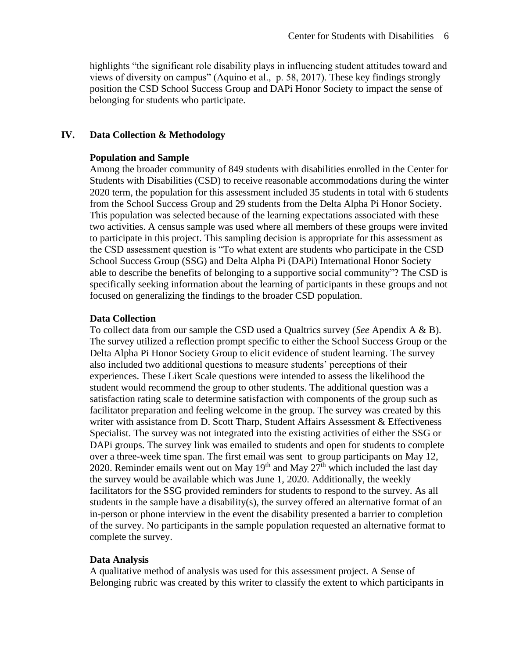highlights "the significant role disability plays in influencing student attitudes toward and views of diversity on campus" (Aquino et al., p. 58, 2017). These key findings strongly position the CSD School Success Group and DAPi Honor Society to impact the sense of belonging for students who participate.

### **IV. Data Collection & Methodology**

#### **Population and Sample**

Among the broader community of 849 students with disabilities enrolled in the Center for Students with Disabilities (CSD) to receive reasonable accommodations during the winter 2020 term, the population for this assessment included 35 students in total with 6 students from the School Success Group and 29 students from the Delta Alpha Pi Honor Society. This population was selected because of the learning expectations associated with these two activities. A census sample was used where all members of these groups were invited to participate in this project. This sampling decision is appropriate for this assessment as the CSD assessment question is "To what extent are students who participate in the CSD School Success Group (SSG) and Delta Alpha Pi (DAPi) International Honor Society able to describe the benefits of belonging to a supportive social community"? The CSD is specifically seeking information about the learning of participants in these groups and not focused on generalizing the findings to the broader CSD population.

### **Data Collection**

To collect data from our sample the CSD used a Qualtrics survey (*See* Apendix A & B). The survey utilized a reflection prompt specific to either the School Success Group or the Delta Alpha Pi Honor Society Group to elicit evidence of student learning. The survey also included two additional questions to measure students' perceptions of their experiences. These Likert Scale questions were intended to assess the likelihood the student would recommend the group to other students. The additional question was a satisfaction rating scale to determine satisfaction with components of the group such as facilitator preparation and feeling welcome in the group. The survey was created by this writer with assistance from D. Scott Tharp, Student Affairs Assessment & Effectiveness Specialist. The survey was not integrated into the existing activities of either the SSG or DAPi groups. The survey link was emailed to students and open for students to complete over a three-week time span. The first email was sent to group participants on May 12, 2020. Reminder emails went out on May  $19<sup>th</sup>$  and May  $27<sup>th</sup>$  which included the last day the survey would be available which was June 1, 2020. Additionally, the weekly facilitators for the SSG provided reminders for students to respond to the survey. As all students in the sample have a disability(s), the survey offered an alternative format of an in-person or phone interview in the event the disability presented a barrier to completion of the survey. No participants in the sample population requested an alternative format to complete the survey.

## **Data Analysis**

A qualitative method of analysis was used for this assessment project. A Sense of Belonging rubric was created by this writer to classify the extent to which participants in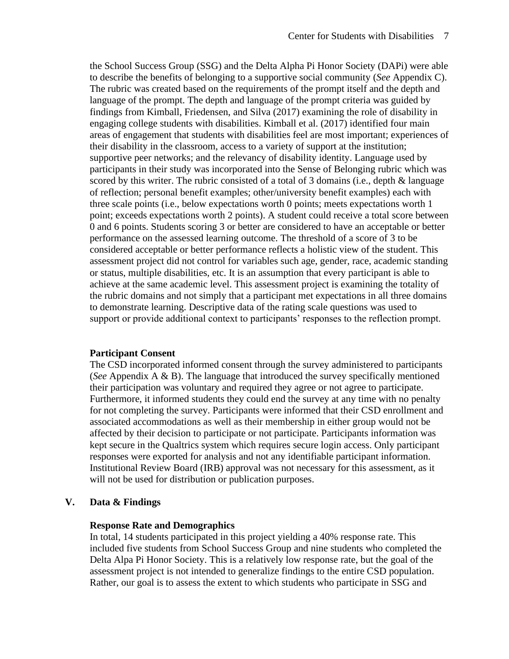the School Success Group (SSG) and the Delta Alpha Pi Honor Society (DAPi) were able to describe the benefits of belonging to a supportive social community (*See* Appendix C). The rubric was created based on the requirements of the prompt itself and the depth and language of the prompt. The depth and language of the prompt criteria was guided by findings from Kimball, Friedensen, and Silva (2017) examining the role of disability in engaging college students with disabilities. Kimball et al. (2017) identified four main areas of engagement that students with disabilities feel are most important; experiences of their disability in the classroom, access to a variety of support at the institution; supportive peer networks; and the relevancy of disability identity. Language used by participants in their study was incorporated into the Sense of Belonging rubric which was scored by this writer. The rubric consisted of a total of 3 domains (i.e., depth & language of reflection; personal benefit examples; other/university benefit examples) each with three scale points (i.e., below expectations worth 0 points; meets expectations worth 1 point; exceeds expectations worth 2 points). A student could receive a total score between 0 and 6 points. Students scoring 3 or better are considered to have an acceptable or better performance on the assessed learning outcome. The threshold of a score of 3 to be considered acceptable or better performance reflects a holistic view of the student. This assessment project did not control for variables such age, gender, race, academic standing or status, multiple disabilities, etc. It is an assumption that every participant is able to achieve at the same academic level. This assessment project is examining the totality of the rubric domains and not simply that a participant met expectations in all three domains to demonstrate learning. Descriptive data of the rating scale questions was used to support or provide additional context to participants' responses to the reflection prompt.

#### **Participant Consent**

The CSD incorporated informed consent through the survey administered to participants (*See* Appendix A & B). The language that introduced the survey specifically mentioned their participation was voluntary and required they agree or not agree to participate. Furthermore, it informed students they could end the survey at any time with no penalty for not completing the survey. Participants were informed that their CSD enrollment and associated accommodations as well as their membership in either group would not be affected by their decision to participate or not participate. Participants information was kept secure in the Qualtrics system which requires secure login access. Only participant responses were exported for analysis and not any identifiable participant information. Institutional Review Board (IRB) approval was not necessary for this assessment, as it will not be used for distribution or publication purposes.

#### **V. Data & Findings**

#### **Response Rate and Demographics**

In total, 14 students participated in this project yielding a 40% response rate. This included five students from School Success Group and nine students who completed the Delta Alpa Pi Honor Society. This is a relatively low response rate, but the goal of the assessment project is not intended to generalize findings to the entire CSD population. Rather, our goal is to assess the extent to which students who participate in SSG and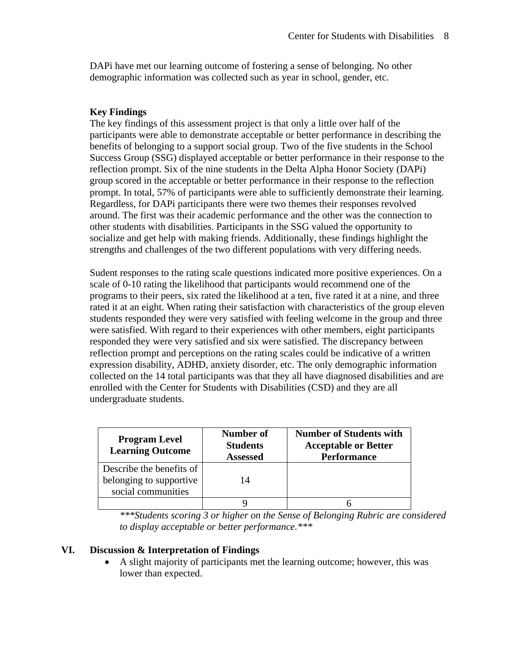DAPi have met our learning outcome of fostering a sense of belonging. No other demographic information was collected such as year in school, gender, etc.

# **Key Findings**

The key findings of this assessment project is that only a little over half of the participants were able to demonstrate acceptable or better performance in describing the benefits of belonging to a support social group. Two of the five students in the School Success Group (SSG) displayed acceptable or better performance in their response to the reflection prompt. Six of the nine students in the Delta Alpha Honor Society (DAPi) group scored in the acceptable or better performance in their response to the reflection prompt. In total, 57% of participants were able to sufficiently demonstrate their learning. Regardless, for DAPi participants there were two themes their responses revolved around. The first was their academic performance and the other was the connection to other students with disabilities. Participants in the SSG valued the opportunity to socialize and get help with making friends. Additionally, these findings highlight the strengths and challenges of the two different populations with very differing needs.

Sudent responses to the rating scale questions indicated more positive experiences. On a scale of 0-10 rating the likelihood that participants would recommend one of the programs to their peers, six rated the likelihood at a ten, five rated it at a nine, and three rated it at an eight. When rating their satisfaction with characteristics of the group eleven students responded they were very satisfied with feeling welcome in the group and three were satisfied. With regard to their experiences with other members, eight participants responded they were very satisfied and six were satisfied. The discrepancy between reflection prompt and perceptions on the rating scales could be indicative of a written expression disability, ADHD, anxiety disorder, etc. The only demographic information collected on the 14 total participants was that they all have diagnosed disabilities and are enrolled with the Center for Students with Disabilities (CSD) and they are all undergraduate students.

| <b>Program Level</b><br><b>Learning Outcome</b>                           | Number of<br><b>Students</b><br><b>Assessed</b> | <b>Number of Students with</b><br><b>Acceptable or Better</b><br><b>Performance</b> |
|---------------------------------------------------------------------------|-------------------------------------------------|-------------------------------------------------------------------------------------|
| Describe the benefits of<br>belonging to supportive<br>social communities | 14                                              |                                                                                     |
|                                                                           |                                                 |                                                                                     |

*\*\*\*Students scoring 3 or higher on the Sense of Belonging Rubric are considered to display acceptable or better performance.\*\*\**

## **VI. Discussion & Interpretation of Findings**

• A slight majority of participants met the learning outcome; however, this was lower than expected.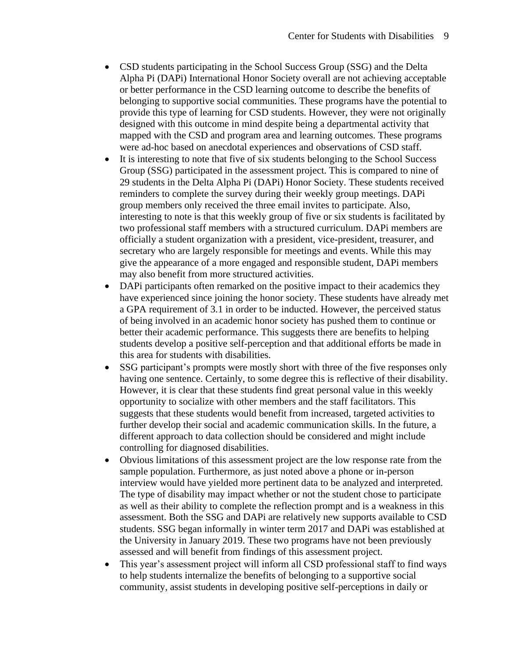- CSD students participating in the School Success Group (SSG) and the Delta Alpha Pi (DAPi) International Honor Society overall are not achieving acceptable or better performance in the CSD learning outcome to describe the benefits of belonging to supportive social communities. These programs have the potential to provide this type of learning for CSD students. However, they were not originally designed with this outcome in mind despite being a departmental activity that mapped with the CSD and program area and learning outcomes. These programs were ad-hoc based on anecdotal experiences and observations of CSD staff.
- It is interesting to note that five of six students belonging to the School Success Group (SSG) participated in the assessment project. This is compared to nine of 29 students in the Delta Alpha Pi (DAPi) Honor Society. These students received reminders to complete the survey during their weekly group meetings. DAPi group members only received the three email invites to participate. Also, interesting to note is that this weekly group of five or six students is facilitated by two professional staff members with a structured curriculum. DAPi members are officially a student organization with a president, vice-president, treasurer, and secretary who are largely responsible for meetings and events. While this may give the appearance of a more engaged and responsible student, DAPi members may also benefit from more structured activities.
- DAPi participants often remarked on the positive impact to their academics they have experienced since joining the honor society. These students have already met a GPA requirement of 3.1 in order to be inducted. However, the perceived status of being involved in an academic honor society has pushed them to continue or better their academic performance. This suggests there are benefits to helping students develop a positive self-perception and that additional efforts be made in this area for students with disabilities.
- SSG participant's prompts were mostly short with three of the five responses only having one sentence. Certainly, to some degree this is reflective of their disability. However, it is clear that these students find great personal value in this weekly opportunity to socialize with other members and the staff facilitators. This suggests that these students would benefit from increased, targeted activities to further develop their social and academic communication skills. In the future, a different approach to data collection should be considered and might include controlling for diagnosed disabilities.
- Obvious limitations of this assessment project are the low response rate from the sample population. Furthermore, as just noted above a phone or in-person interview would have yielded more pertinent data to be analyzed and interpreted. The type of disability may impact whether or not the student chose to participate as well as their ability to complete the reflection prompt and is a weakness in this assessment. Both the SSG and DAPi are relatively new supports available to CSD students. SSG began informally in winter term 2017 and DAPi was established at the University in January 2019. These two programs have not been previously assessed and will benefit from findings of this assessment project.
- This year's assessment project will inform all CSD professional staff to find ways to help students internalize the benefits of belonging to a supportive social community, assist students in developing positive self-perceptions in daily or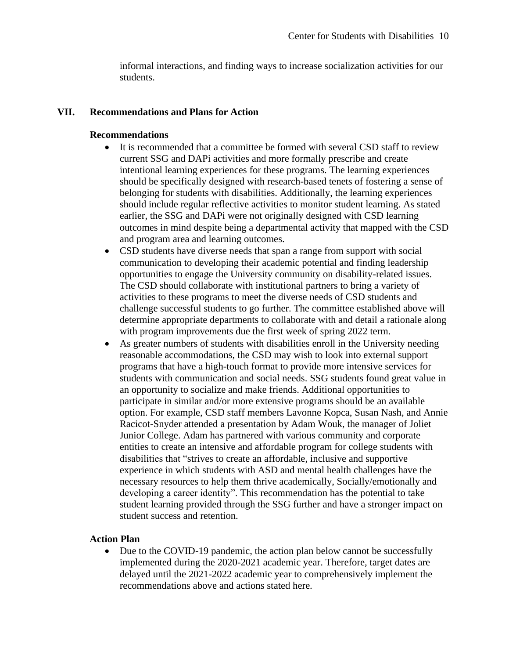informal interactions, and finding ways to increase socialization activities for our students.

### **VII. Recommendations and Plans for Action**

### **Recommendations**

- It is recommended that a committee be formed with several CSD staff to review current SSG and DAPi activities and more formally prescribe and create intentional learning experiences for these programs. The learning experiences should be specifically designed with research-based tenets of fostering a sense of belonging for students with disabilities. Additionally, the learning experiences should include regular reflective activities to monitor student learning. As stated earlier, the SSG and DAPi were not originally designed with CSD learning outcomes in mind despite being a departmental activity that mapped with the CSD and program area and learning outcomes.
- CSD students have diverse needs that span a range from support with social communication to developing their academic potential and finding leadership opportunities to engage the University community on disability-related issues. The CSD should collaborate with institutional partners to bring a variety of activities to these programs to meet the diverse needs of CSD students and challenge successful students to go further. The committee established above will determine appropriate departments to collaborate with and detail a rationale along with program improvements due the first week of spring 2022 term.
- As greater numbers of students with disabilities enroll in the University needing reasonable accommodations, the CSD may wish to look into external support programs that have a high-touch format to provide more intensive services for students with communication and social needs. SSG students found great value in an opportunity to socialize and make friends. Additional opportunities to participate in similar and/or more extensive programs should be an available option. For example, CSD staff members Lavonne Kopca, Susan Nash, and Annie Racicot-Snyder attended a presentation by Adam Wouk, the manager of Joliet Junior College. Adam has partnered with various community and corporate entities to create an intensive and affordable program for college students with disabilities that "strives to create an affordable, inclusive and supportive experience in which students with ASD and mental health challenges have the necessary resources to help them thrive academically, Socially/emotionally and developing a career identity". This recommendation has the potential to take student learning provided through the SSG further and have a stronger impact on student success and retention.

#### **Action Plan**

• Due to the COVID-19 pandemic, the action plan below cannot be successfully implemented during the 2020-2021 academic year. Therefore, target dates are delayed until the 2021-2022 academic year to comprehensively implement the recommendations above and actions stated here.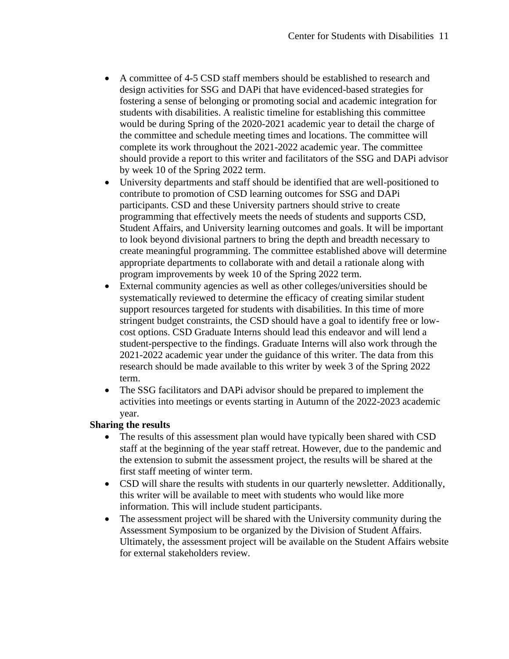- A committee of 4-5 CSD staff members should be established to research and design activities for SSG and DAPi that have evidenced-based strategies for fostering a sense of belonging or promoting social and academic integration for students with disabilities. A realistic timeline for establishing this committee would be during Spring of the 2020-2021 academic year to detail the charge of the committee and schedule meeting times and locations. The committee will complete its work throughout the 2021-2022 academic year. The committee should provide a report to this writer and facilitators of the SSG and DAPi advisor by week 10 of the Spring 2022 term.
- University departments and staff should be identified that are well-positioned to contribute to promotion of CSD learning outcomes for SSG and DAPi participants. CSD and these University partners should strive to create programming that effectively meets the needs of students and supports CSD, Student Affairs, and University learning outcomes and goals. It will be important to look beyond divisional partners to bring the depth and breadth necessary to create meaningful programming. The committee established above will determine appropriate departments to collaborate with and detail a rationale along with program improvements by week 10 of the Spring 2022 term.
- External community agencies as well as other colleges/universities should be systematically reviewed to determine the efficacy of creating similar student support resources targeted for students with disabilities. In this time of more stringent budget constraints, the CSD should have a goal to identify free or lowcost options. CSD Graduate Interns should lead this endeavor and will lend a student-perspective to the findings. Graduate Interns will also work through the 2021-2022 academic year under the guidance of this writer. The data from this research should be made available to this writer by week 3 of the Spring 2022 term.
- The SSG facilitators and DAPi advisor should be prepared to implement the activities into meetings or events starting in Autumn of the 2022-2023 academic year.

## **Sharing the results**

- The results of this assessment plan would have typically been shared with CSD staff at the beginning of the year staff retreat. However, due to the pandemic and the extension to submit the assessment project, the results will be shared at the first staff meeting of winter term.
- CSD will share the results with students in our quarterly newsletter. Additionally, this writer will be available to meet with students who would like more information. This will include student participants.
- The assessment project will be shared with the University community during the Assessment Symposium to be organized by the Division of Student Affairs. Ultimately, the assessment project will be available on the Student Affairs website for external stakeholders review.